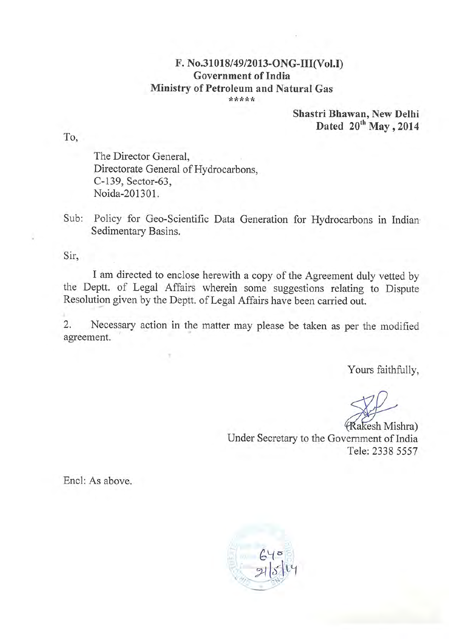## F. No.31018/49/2013-ONG-III(Vol.I) Government of India Ministry of Petroleum and Natural Gas \*\*\*\*\*

Shastri Bhawan, New Delhi Dated  $20^{th}$  May, 2014

The Director General, Directorate General of Hydrocarbons. C-139, Sector-63, Noida-201301.

Sub: Policy for Geo-Scientific Data Generation for Hydrocarbons in Indian Sedimentary Basins.

Sir,

I am directed to enclose herewith a copy of the Agreement duly vetted by the Deptt. of Legal Affairs wherein some suggestions relating to Dispute Resolution given by the Deptt. of Legal Affairs have been carried out.

2. Necessary action in the matter may please be taken as per the modified agreement.

Yours faithfully,

(Rakesh Mishra) Under Secretary to the Government of India Tele: 2338 5557

Encl: As above.



To,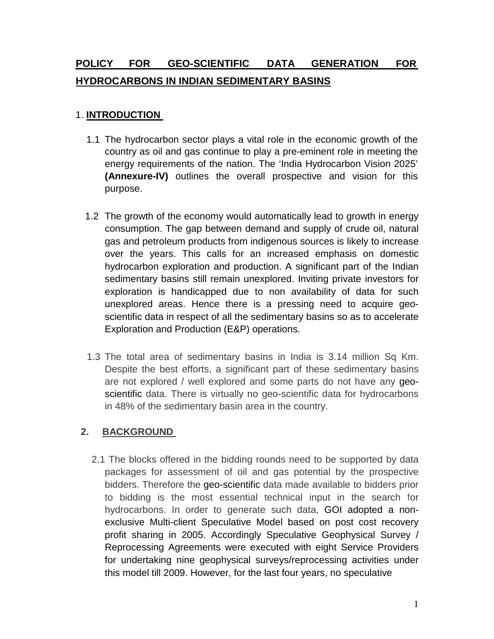# **POLICY FOR GEO-SCIENTIFIC DATA GENERATION FOR HYDROCARBONS IN INDIAN SEDIMENTARY BASINS**

## 1. **INTRODUCTION**

- 1.1 The hydrocarbon sector plays a vital role in the economic growth of the country as oil and gas continue to play a pre-eminent role in meeting the energy requirements of the nation. The 'India Hydrocarbon Vision 2025' **(Annexure-IV)** outlines the overall prospective and vision for this purpose.
- 1.2 The growth of the economy would automatically lead to growth in energy consumption. The gap between demand and supply of crude oil, natural gas and petroleum products from indigenous sources is likely to increase over the years. This calls for an increased emphasis on domestic hydrocarbon exploration and production. A significant part of the Indian sedimentary basins still remain unexplored. Inviting private investors for exploration is handicapped due to non availability of data for such unexplored areas. Hence there is a pressing need to acquire geoscientific data in respect of all the sedimentary basins so as to accelerate Exploration and Production (E&P) operations.
- 1.3 The total area of sedimentary basins in India is 3.14 million Sq Km. Despite the best efforts, a significant part of these sedimentary basins are not explored / well explored and some parts do not have any geoscientific data. There is virtually no geo-scientific data for hydrocarbons in 48% of the sedimentary basin area in the country.

## **2. BACKGROUND**

2.1 The blocks offered in the bidding rounds need to be supported by data packages for assessment of oil and gas potential by the prospective bidders. Therefore the geo-scientific data made available to bidders prior to bidding is the most essential technical input in the search for hydrocarbons. In order to generate such data, GOI adopted a nonexclusive Multi-client Speculative Model based on post cost recovery profit sharing in 2005. Accordingly Speculative Geophysical Survey / Reprocessing Agreements were executed with eight Service Providers for undertaking nine geophysical surveys/reprocessing activities under this model till 2009. However, for the last four years, no speculative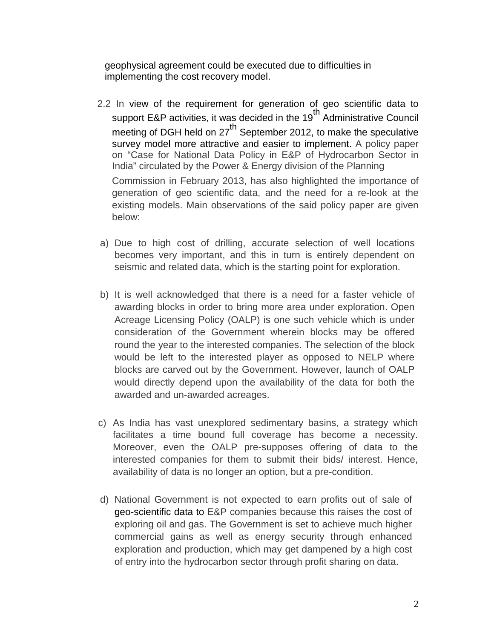geophysical agreement could be executed due to difficulties in implementing the cost recovery model.

- 2.2 In view of the requirement for generation of geo scientific data to support E&P activities, it was decided in the 19<sup>th</sup> Administrative Council meeting of DGH held on 27<sup>th</sup> September 2012, to make the speculative survey model more attractive and easier to implement. A policy paper on "Case for National Data Policy in E&P of Hydrocarbon Sector in India" circulated by the Power & Energy division of the Planning Commission in February 2013, has also highlighted the importance of generation of geo scientific data, and the need for a re-look at the existing models. Main observations of the said policy paper are given below:
- a) Due to high cost of drilling, accurate selection of well locations becomes very important, and this in turn is entirely dependent on seismic and related data, which is the starting point for exploration.
- b) It is well acknowledged that there is a need for a faster vehicle of awarding blocks in order to bring more area under exploration. Open Acreage Licensing Policy (OALP) is one such vehicle which is under consideration of the Government wherein blocks may be offered round the year to the interested companies. The selection of the block would be left to the interested player as opposed to NELP where blocks are carved out by the Government. However, launch of OALP would directly depend upon the availability of the data for both the awarded and un-awarded acreages.
- c) As India has vast unexplored sedimentary basins, a strategy which facilitates a time bound full coverage has become a necessity. Moreover, even the OALP pre-supposes offering of data to the interested companies for them to submit their bids/ interest. Hence, availability of data is no longer an option, but a pre-condition.
- d) National Government is not expected to earn profits out of sale of geo-scientific data to E&P companies because this raises the cost of exploring oil and gas. The Government is set to achieve much higher commercial gains as well as energy security through enhanced exploration and production, which may get dampened by a high cost of entry into the hydrocarbon sector through profit sharing on data.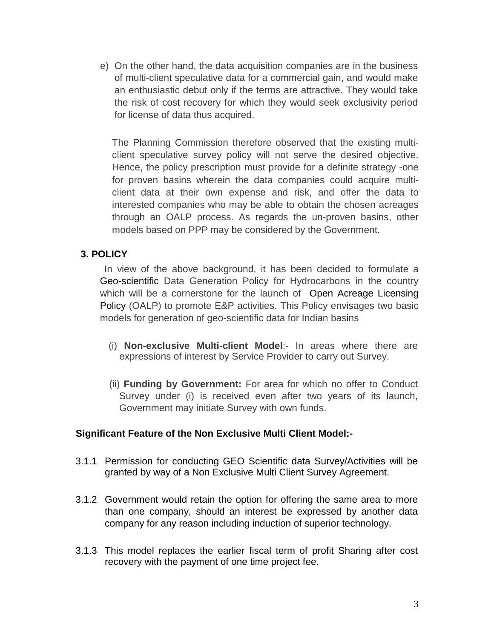e) On the other hand, the data acquisition companies are in the business of multi-client speculative data for a commercial gain, and would make an enthusiastic debut only if the terms are attractive. They would take the risk of cost recovery for which they would seek exclusivity period for license of data thus acquired.

The Planning Commission therefore observed that the existing multiclient speculative survey policy will not serve the desired objective. Hence, the policy prescription must provide for a definite strategy -one for proven basins wherein the data companies could acquire multiclient data at their own expense and risk, and offer the data to interested companies who may be able to obtain the chosen acreages through an OALP process. As regards the un-proven basins, other models based on PPP may be considered by the Government.

## **3. POLICY**

In view of the above background, it has been decided to formulate a Geo-scientific Data Generation Policy for Hydrocarbons in the country which will be a cornerstone for the launch of [Open Acreage Licensing](https://www.google.co.in/search?biw=1280&bih=628&q=open+acreage+licensing+policy&revid=62855318&sa=X&ei=kL2yUpSfBILIrQeeioC4DA&ved=0CGkQ1QIoAQ) [Policy](https://www.google.co.in/search?biw=1280&bih=628&q=open+acreage+licensing+policy&revid=62855318&sa=X&ei=kL2yUpSfBILIrQeeioC4DA&ved=0CGkQ1QIoAQ) (OALP) to promote E&P activities. This Policy envisages two basic models for generation of geo-scientific data for Indian basins

- (i) **Non-exclusive Multi-client Model**:- In areas where there are expressions of interest by Service Provider to carry out Survey.
- (ii) **Funding by Government:** For area for which no offer to Conduct Survey under (i) is received even after two years of its launch, Government may initiate Survey with own funds.

#### **Significant Feature of the Non Exclusive Multi Client Model:-**

- 3.1.1 Permission for conducting GEO Scientific data Survey/Activities will be granted by way of a Non Exclusive Multi Client Survey Agreement.
- 3.1.2 Government would retain the option for offering the same area to more than one company, should an interest be expressed by another data company for any reason including induction of superior technology.
- 3.1.3 This model replaces the earlier fiscal term of profit Sharing after cost recovery with the payment of one time project fee.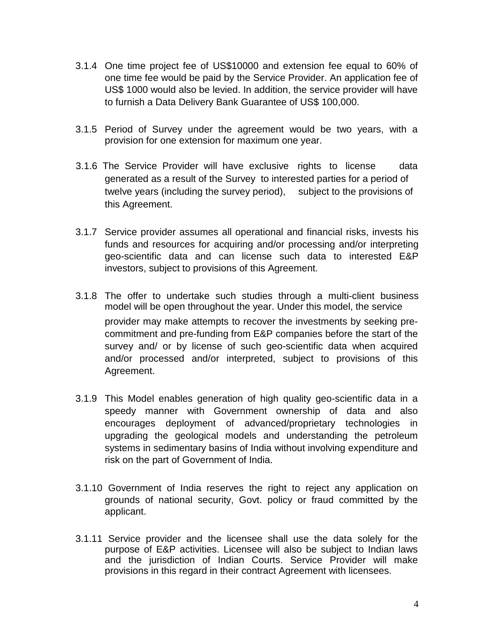- 3.1.4 One time project fee of US\$10000 and extension fee equal to 60% of one time fee would be paid by the Service Provider. An application fee of US\$ 1000 would also be levied. In addition, the service provider will have to furnish a Data Delivery Bank Guarantee of US\$ 100,000.
- 3.1.5 Period of Survey under the agreement would be two years, with a provision for one extension for maximum one year.
- 3.1.6 The Service Provider will have exclusive rights to license data generated as a result of the Survey to interested parties for a period of twelve years (including the survey period), subject to the provisions of this Agreement.
- 3.1.7 Service provider assumes all operational and financial risks, invests his funds and resources for acquiring and/or processing and/or interpreting geo-scientific data and can license such data to interested E&P investors, subject to provisions of this Agreement.
- 3.1.8 The offer to undertake such studies through a multi-client business model will be open throughout the year. Under this model, the service provider may make attempts to recover the investments by seeking precommitment and pre-funding from E&P companies before the start of the survey and/ or by license of such geo-scientific data when acquired and/or processed and/or interpreted, subject to provisions of this Agreement.
- 3.1.9 This Model enables generation of high quality geo-scientific data in a speedy manner with Government ownership of data and also encourages deployment of advanced/proprietary technologies in upgrading the geological models and understanding the petroleum systems in sedimentary basins of India without involving expenditure and risk on the part of Government of India.
- 3.1.10 Government of India reserves the right to reject any application on grounds of national security, Govt. policy or fraud committed by the applicant.
- 3.1.11 Service provider and the licensee shall use the data solely for the purpose of E&P activities. Licensee will also be subject to Indian laws and the jurisdiction of Indian Courts. Service Provider will make provisions in this regard in their contract Agreement with licensees.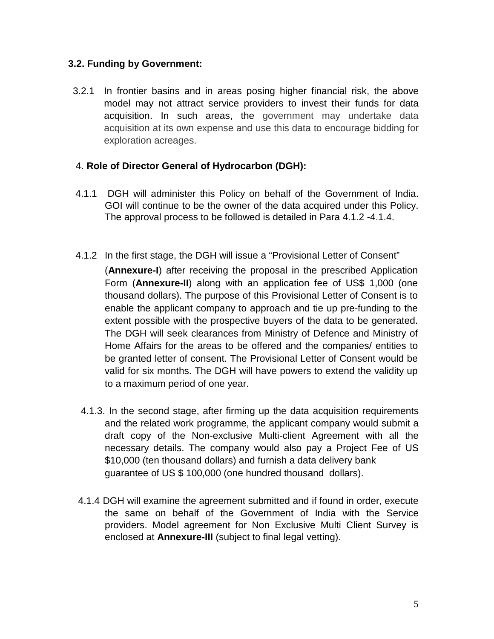## **3.2. Funding by Government:**

3.2.1 In frontier basins and in areas posing higher financial risk, the above model may not attract service providers to invest their funds for data acquisition. In such areas, the government may undertake data acquisition at its own expense and use this data to encourage bidding for exploration acreages.

## 4. **Role of Director General of Hydrocarbon (DGH):**

- 4.1.1 DGH will administer this Policy on behalf of the Government of India. GOI will continue to be the owner of the data acquired under this Policy. The approval process to be followed is detailed in Para 4.1.2 -4.1.4.
- 4.1.2 In the first stage, the DGH will issue a "Provisional Letter of Consent" (**Annexure-I**) after receiving the proposal in the prescribed Application Form (**Annexure-II**) along with an application fee of US\$ 1,000 (one thousand dollars). The purpose of this Provisional Letter of Consent is to enable the applicant company to approach and tie up pre-funding to the extent possible with the prospective buyers of the data to be generated. The DGH will seek clearances from Ministry of Defence and Ministry of Home Affairs for the areas to be offered and the companies/ entities to be granted letter of consent. The Provisional Letter of Consent would be valid for six months. The DGH will have powers to extend the validity up to a maximum period of one year.
	- 4.1.3. In the second stage, after firming up the data acquisition requirements and the related work programme, the applicant company would submit a draft copy of the Non-exclusive Multi-client Agreement with all the necessary details. The company would also pay a Project Fee of US \$10,000 (ten thousand dollars) and furnish a data delivery bank guarantee of US \$ 100,000 (one hundred thousand dollars).
- 4.1.4 DGH will examine the agreement submitted and if found in order, execute the same on behalf of the Government of India with the Service providers. Model agreement for Non Exclusive Multi Client Survey is enclosed at **Annexure-III** (subject to final legal vetting).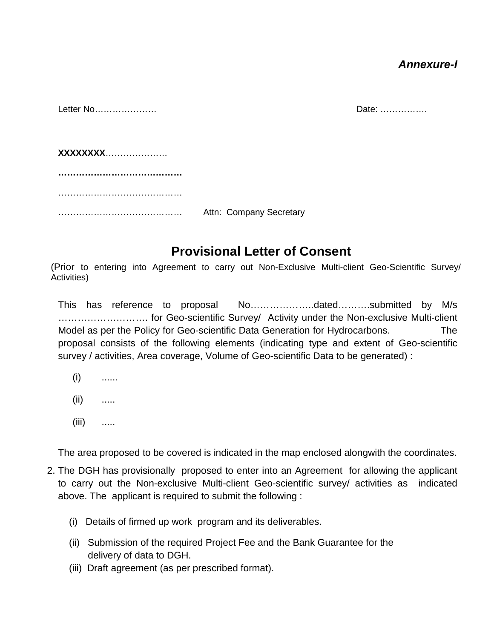## *Annexure-I*

| Letter No |                         | Date: |
|-----------|-------------------------|-------|
|           |                         |       |
|           |                         |       |
|           |                         |       |
| XXXXXXXX  |                         |       |
|           |                         |       |
|           |                         |       |
|           |                         |       |
|           |                         |       |
|           | Attn: Company Secretary |       |

# **Provisional Letter of Consent**

(Prior to entering into Agreement to carry out Non-Exclusive Multi-client Geo-Scientific Survey/ Activities)

This has reference to proposal No………………..dated……….submitted by M/s ………………………. for Geo-scientific Survey/ Activity under the Non-exclusive Multi-client Model as per the Policy for Geo-scientific Data Generation for Hydrocarbons. The proposal consists of the following elements (indicating type and extent of Geo-scientific survey / activities, Area coverage, Volume of Geo-scientific Data to be generated) :

- $(i)$  ......
- (ii) .....
- $(iii)$  .....

The area proposed to be covered is indicated in the map enclosed alongwith the coordinates.

- 2. The DGH has provisionally proposed to enter into an Agreement for allowing the applicant to carry out the Non-exclusive Multi-client Geo-scientific survey/ activities as indicated above. The applicant is required to submit the following :
	- (i) Details of firmed up work program and its deliverables.
	- (ii) Submission of the required Project Fee and the Bank Guarantee for the delivery of data to DGH.
	- (iii) Draft agreement (as per prescribed format).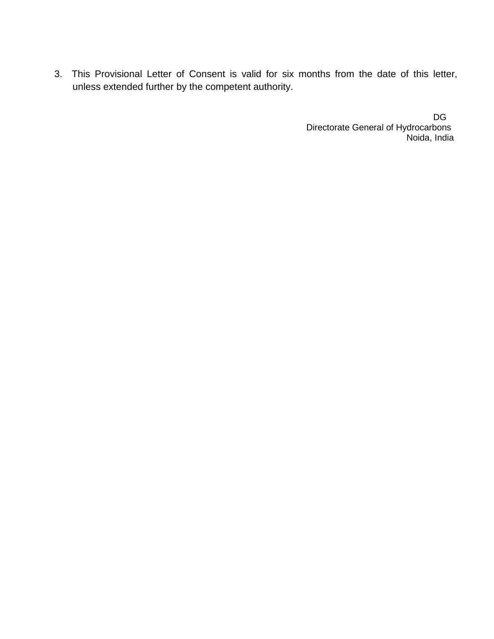3. This Provisional Letter of Consent is valid for six months from the date of this letter, unless extended further by the competent authority.

> de la contra de la propincia de la propincia de la propincia de la propincia de la propincia de la propincia d Directorate General of Hydrocarbons Noida, India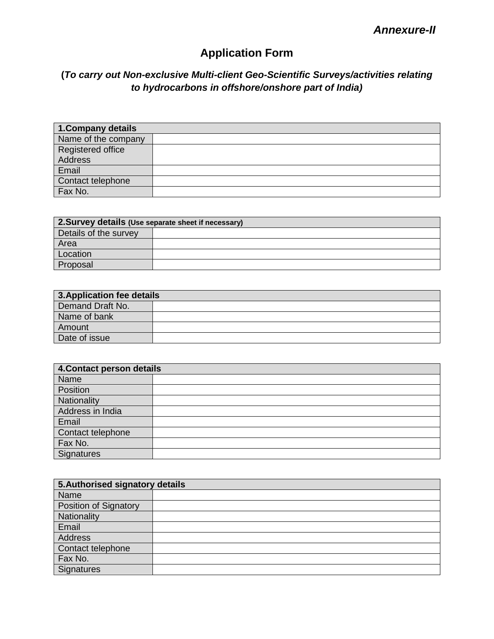# **Application Form**

## **(***To carry out Non-exclusive Multi-client Geo-Scientific Surveys/activities relating to hydrocarbons in offshore/onshore part of India)*

| 1. Company details  |  |
|---------------------|--|
| Name of the company |  |
| Registered office   |  |
| Address             |  |
| Email               |  |
| Contact telephone   |  |
| Fax No.             |  |

| 2. Survey details (Use separate sheet if necessary) |  |  |
|-----------------------------------------------------|--|--|
| Details of the survey                               |  |  |
| Area                                                |  |  |
| Location                                            |  |  |
| Proposal                                            |  |  |

| 3. Application fee details |  |  |
|----------------------------|--|--|
| Demand Draft No.           |  |  |
| Name of bank               |  |  |
| Amount                     |  |  |
| Date of issue              |  |  |

| 4. Contact person details |  |  |
|---------------------------|--|--|
| Name                      |  |  |
| Position                  |  |  |
| <b>Nationality</b>        |  |  |
| Address in India          |  |  |
| Email                     |  |  |
| Contact telephone         |  |  |
| Fax No.                   |  |  |
| Signatures                |  |  |

| 5. Authorised signatory details |  |  |
|---------------------------------|--|--|
| Name                            |  |  |
| Position of Signatory           |  |  |
| Nationality                     |  |  |
| Email                           |  |  |
| Address                         |  |  |
| Contact telephone               |  |  |
| Fax No.                         |  |  |
| Signatures                      |  |  |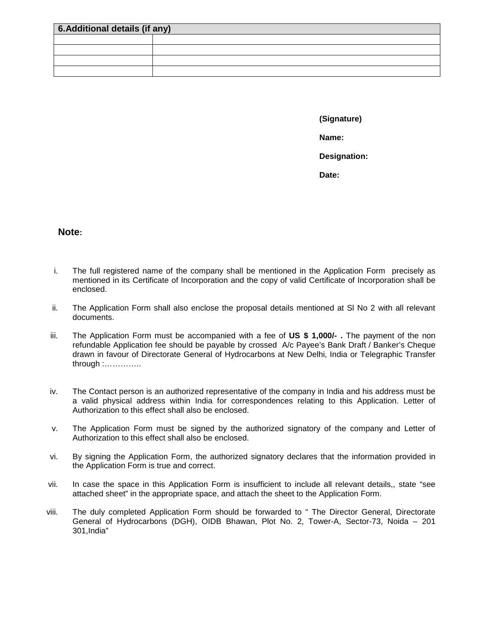| 6. Additional details (if any) |  |  |
|--------------------------------|--|--|
|                                |  |  |
|                                |  |  |
|                                |  |  |
|                                |  |  |

**(Signature) Name: Designation: Date:**

**Note:** 

- i. The full registered name of the company shall be mentioned in the Application Form precisely as mentioned in its Certificate of Incorporation and the copy of valid Certificate of Incorporation shall be enclosed.
- ii. The Application Form shall also enclose the proposal details mentioned at Sl No 2 with all relevant documents.
- iii. The Application Form must be accompanied with a fee of **US \$ 1,000/- .** The payment of the non refundable Application fee should be payable by crossed A/c Payee's Bank Draft / Banker's Cheque drawn in favour of Directorate General of Hydrocarbons at New Delhi, India or Telegraphic Transfer through :…………..
- iv. The Contact person is an authorized representative of the company in India and his address must be a valid physical address within India for correspondences relating to this Application. Letter of Authorization to this effect shall also be enclosed.
- v. The Application Form must be signed by the authorized signatory of the company and Letter of Authorization to this effect shall also be enclosed.
- vi. By signing the Application Form, the authorized signatory declares that the information provided in the Application Form is true and correct.
- vii. In case the space in this Application Form is insufficient to include all relevant details,, state "see attached sheet" in the appropriate space, and attach the sheet to the Application Form.
- viii. The duly completed Application Form should be forwarded to " The Director General, Directorate General of Hydrocarbons (DGH), OIDB Bhawan, Plot No. 2, Tower-A, Sector-73, Noida – 201 301,India"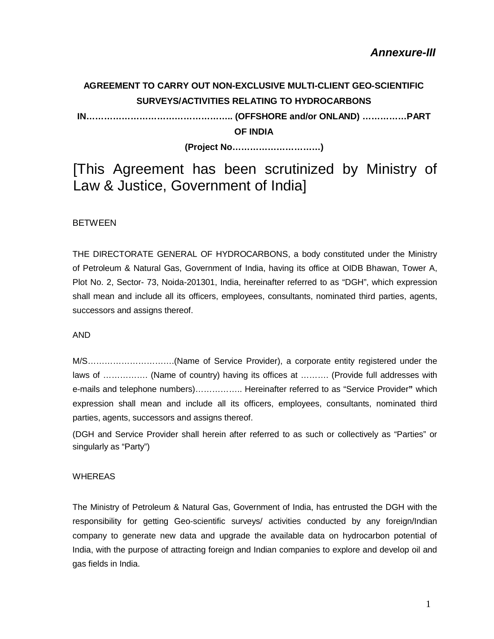# **AGREEMENT TO CARRY OUT NON-EXCLUSIVE MULTI-CLIENT GEO-SCIENTIFIC SURVEYS/ACTIVITIES RELATING TO HYDROCARBONS**

**IN………………………………………….. (OFFSHORE and/or ONLAND) ……………PART** 

**OF INDIA**

**(Project No…………………………)**

[This Agreement has been scrutinized by Ministry of Law & Justice, Government of India]

#### **BETWEEN**

THE DIRECTORATE GENERAL OF HYDROCARBONS, a body constituted under the Ministry of Petroleum & Natural Gas, Government of India, having its office at OIDB Bhawan, Tower A, Plot No. 2, Sector- 73, Noida-201301, India, hereinafter referred to as "DGH", which expression shall mean and include all its officers, employees, consultants, nominated third parties, agents, successors and assigns thereof.

#### AND

M/S………………………….(Name of Service Provider), a corporate entity registered under the laws of ……………. (Name of country) having its offices at ………. (Provide full addresses with e-mails and telephone numbers)…………….. Hereinafter referred to as "Service Provider**"** which expression shall mean and include all its officers, employees, consultants, nominated third parties, agents, successors and assigns thereof.

(DGH and Service Provider shall herein after referred to as such or collectively as "Parties" or singularly as "Party")

#### WHEREAS

The Ministry of Petroleum & Natural Gas, Government of India, has entrusted the DGH with the responsibility for getting Geo-scientific surveys/ activities conducted by any foreign/Indian company to generate new data and upgrade the available data on hydrocarbon potential of India, with the purpose of attracting foreign and Indian companies to explore and develop oil and gas fields in India.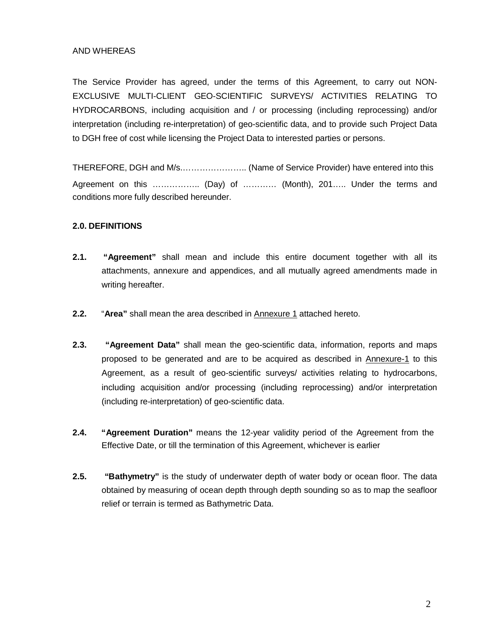#### AND WHEREAS

The Service Provider has agreed, under the terms of this Agreement, to carry out NON-EXCLUSIVE MULTI-CLIENT GEO-SCIENTIFIC SURVEYS/ ACTIVITIES RELATING TO HYDROCARBONS, including acquisition and / or processing (including reprocessing) and/or interpretation (including re-interpretation) of geo-scientific data, and to provide such Project Data to DGH free of cost while licensing the Project Data to interested parties or persons.

THEREFORE, DGH and M/s.………………….. (Name of Service Provider) have entered into this Agreement on this …………….. (Day) of ………… (Month), 201….. Under the terms and conditions more fully described hereunder.

#### **2.0. DEFINITIONS**

- **2.1. "Agreement"** shall mean and include this entire document together with all its attachments, annexure and appendices, and all mutually agreed amendments made in writing hereafter.
- **2.2.** "**Area"** shall mean the area described in Annexure 1 attached hereto.
- **2.3. "Agreement Data"** shall mean the geo-scientific data, information, reports and maps proposed to be generated and are to be acquired as described in Annexure-1 to this Agreement, as a result of geo-scientific surveys/ activities relating to hydrocarbons, including acquisition and/or processing (including reprocessing) and/or interpretation (including re-interpretation) of geo-scientific data.
- **2.4. "Agreement Duration"** means the 12-year validity period of the Agreement from the Effective Date, or till the termination of this Agreement, whichever is earlier
- **2.5. "Bathymetry"** is the study of underwater depth of water body or ocean floor. The data obtained by measuring of ocean depth through depth sounding so as to map the seafloor relief or terrain is termed as Bathymetric Data.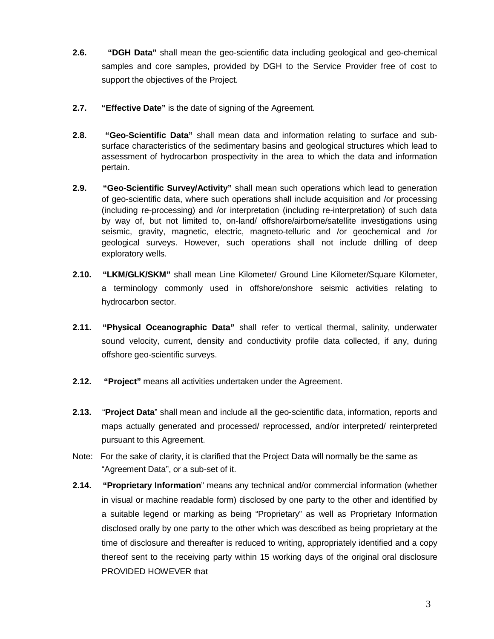- **2.6. "DGH Data"** shall mean the geo-scientific data including geological and geo-chemical samples and core samples, provided by DGH to the Service Provider free of cost to support the objectives of the Project.
- **2.7. "Effective Date"** is the date of signing of the Agreement.
- **2.8. "Geo-Scientific Data"** shall mean data and information relating to surface and subsurface characteristics of the sedimentary basins and geological structures which lead to assessment of hydrocarbon prospectivity in the area to which the data and information pertain.
- **2.9. "Geo-Scientific Survey/Activity"** shall mean such operations which lead to generation of geo-scientific data, where such operations shall include acquisition and /or processing (including re-processing) and /or interpretation (including re-interpretation) of such data by way of, but not limited to, on-land/ offshore/airborne/satellite investigations using seismic, gravity, magnetic, electric, magneto-telluric and /or geochemical and /or geological surveys. However, such operations shall not include drilling of deep exploratory wells.
- **2.10. "LKM/GLK/SKM"** shall mean Line Kilometer/ Ground Line Kilometer/Square Kilometer, a terminology commonly used in offshore/onshore seismic activities relating to hydrocarbon sector.
- **2.11. "Physical Oceanographic Data"** shall refer to vertical thermal, salinity, underwater sound velocity, current, density and conductivity profile data collected, if any, during offshore geo-scientific surveys.
- **2.12. "Project"** means all activities undertaken under the Agreement.
- **2.13.** "**Project Data**" shall mean and include all the geo-scientific data, information, reports and maps actually generated and processed/ reprocessed, and/or interpreted/ reinterpreted pursuant to this Agreement.
- Note: For the sake of clarity, it is clarified that the Project Data will normally be the same as "Agreement Data", or a sub-set of it.
- **2.14. "Proprietary Information**" means any technical and/or commercial information (whether in visual or machine readable form) disclosed by one party to the other and identified by a suitable legend or marking as being "Proprietary" as well as Proprietary Information disclosed orally by one party to the other which was described as being proprietary at the time of disclosure and thereafter is reduced to writing, appropriately identified and a copy thereof sent to the receiving party within 15 working days of the original oral disclosure PROVIDED HOWEVER that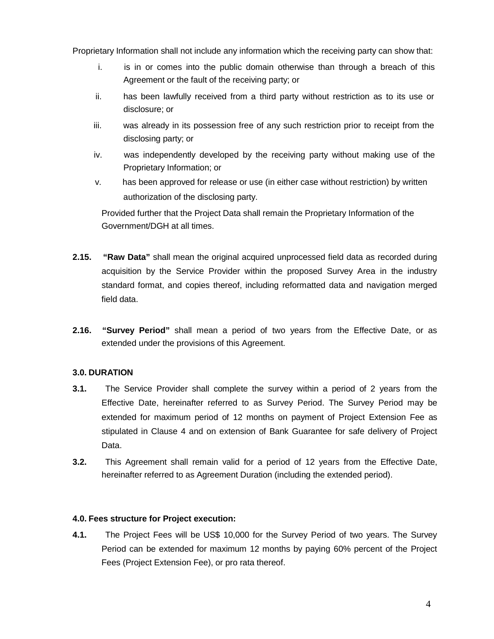Proprietary Information shall not include any information which the receiving party can show that:

- i. is in or comes into the public domain otherwise than through a breach of this Agreement or the fault of the receiving party; or
- ii. has been lawfully received from a third party without restriction as to its use or disclosure; or
- iii. was already in its possession free of any such restriction prior to receipt from the disclosing party; or
- iv. was independently developed by the receiving party without making use of the Proprietary Information; or
- v. has been approved for release or use (in either case without restriction) by written authorization of the disclosing party.

Provided further that the Project Data shall remain the Proprietary Information of the Government/DGH at all times.

- **2.15. "Raw Data"** shall mean the original acquired unprocessed field data as recorded during acquisition by the Service Provider within the proposed Survey Area in the industry standard format, and copies thereof, including reformatted data and navigation merged field data.
- **2.16. "Survey Period"** shall mean a period of two years from the Effective Date, or as extended under the provisions of this Agreement.

#### **3.0. DURATION**

- **3.1.** The Service Provider shall complete the survey within a period of 2 years from the Effective Date, hereinafter referred to as Survey Period. The Survey Period may be extended for maximum period of 12 months on payment of Project Extension Fee as stipulated in Clause 4 and on extension of Bank Guarantee for safe delivery of Project Data.
- **3.2.** This Agreement shall remain valid for a period of 12 years from the Effective Date, hereinafter referred to as Agreement Duration (including the extended period).

#### **4.0. Fees structure for Project execution:**

**4.1.** The Project Fees will be US\$ 10,000 for the Survey Period of two years. The Survey Period can be extended for maximum 12 months by paying 60% percent of the Project Fees (Project Extension Fee), or pro rata thereof.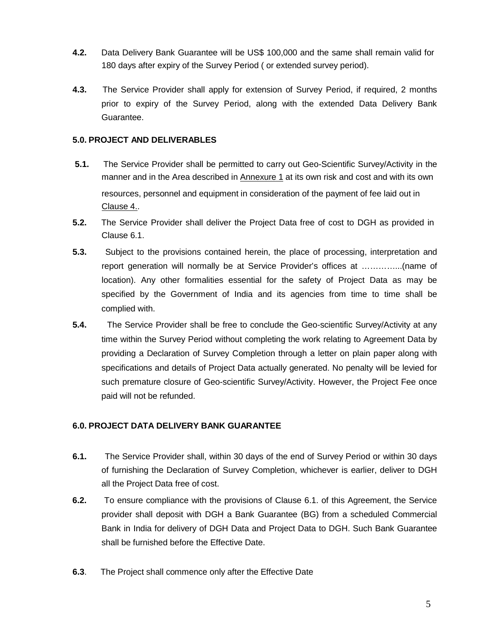- **4.2.** Data Delivery Bank Guarantee will be US\$ 100,000 and the same shall remain valid for 180 days after expiry of the Survey Period ( or extended survey period).
- **4.3.** The Service Provider shall apply for extension of Survey Period, if required, 2 months prior to expiry of the Survey Period, along with the extended Data Delivery Bank Guarantee.

#### **5.0. PROJECT AND DELIVERABLES**

- **5.1.** The Service Provider shall be permitted to carry out Geo-Scientific Survey/Activity in the manner and in the Area described in **Annexure 1** at its own risk and cost and with its own resources, personnel and equipment in consideration of the payment of fee laid out in Clause 4..
- **5.2.** The Service Provider shall deliver the Project Data free of cost to DGH as provided in Clause 6.1.
- **5.3.** Subject to the provisions contained herein, the place of processing, interpretation and report generation will normally be at Service Provider's offices at …………...(name of location). Any other formalities essential for the safety of Project Data as may be specified by the Government of India and its agencies from time to time shall be complied with.
- **5.4.** The Service Provider shall be free to conclude the Geo-scientific Survey/Activity at any time within the Survey Period without completing the work relating to Agreement Data by providing a Declaration of Survey Completion through a letter on plain paper along with specifications and details of Project Data actually generated. No penalty will be levied for such premature closure of Geo-scientific Survey/Activity. However, the Project Fee once paid will not be refunded.

#### **6.0. PROJECT DATA DELIVERY BANK GUARANTEE**

- **6.1.** The Service Provider shall, within 30 days of the end of Survey Period or within 30 days of furnishing the Declaration of Survey Completion, whichever is earlier, deliver to DGH all the Project Data free of cost.
- **6.2.** To ensure compliance with the provisions of Clause 6.1. of this Agreement, the Service provider shall deposit with DGH a Bank Guarantee (BG) from a scheduled Commercial Bank in India for delivery of DGH Data and Project Data to DGH. Such Bank Guarantee shall be furnished before the Effective Date.
- **6.3**. The Project shall commence only after the Effective Date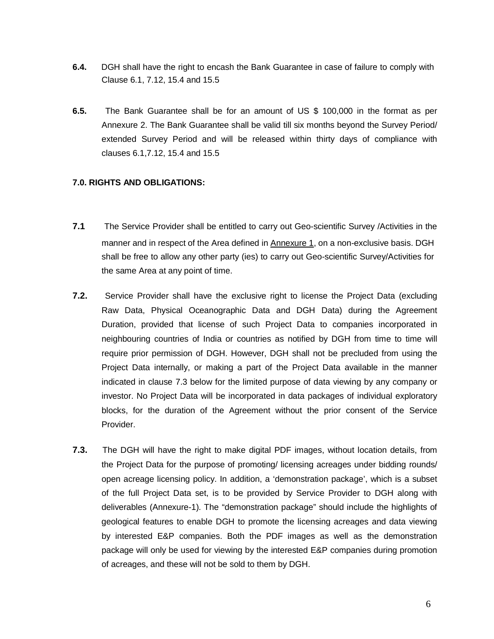- **6.4.** DGH shall have the right to encash the Bank Guarantee in case of failure to comply with Clause 6.1, 7.12, 15.4 and 15.5
- **6.5.** The Bank Guarantee shall be for an amount of US \$ 100,000 in the format as per Annexure 2. The Bank Guarantee shall be valid till six months beyond the Survey Period/ extended Survey Period and will be released within thirty days of compliance with clauses 6.1,7.12, 15.4 and 15.5

#### **7.0. RIGHTS AND OBLIGATIONS:**

- **7.1** The Service Provider shall be entitled to carry out Geo-scientific Survey /Activities in the manner and in respect of the Area defined in Annexure 1, on a non-exclusive basis. DGH shall be free to allow any other party (ies) to carry out Geo-scientific Survey/Activities for the same Area at any point of time.
- **7.2.** Service Provider shall have the exclusive right to license the Project Data (excluding Raw Data, Physical Oceanographic Data and DGH Data) during the Agreement Duration, provided that license of such Project Data to companies incorporated in neighbouring countries of India or countries as notified by DGH from time to time will require prior permission of DGH. However, DGH shall not be precluded from using the Project Data internally, or making a part of the Project Data available in the manner indicated in clause 7.3 below for the limited purpose of data viewing by any company or investor. No Project Data will be incorporated in data packages of individual exploratory blocks, for the duration of the Agreement without the prior consent of the Service Provider.
- **7.3.** The DGH will have the right to make digital PDF images, without location details, from the Project Data for the purpose of promoting/ licensing acreages under bidding rounds/ open acreage licensing policy. In addition, a 'demonstration package', which is a subset of the full Project Data set, is to be provided by Service Provider to DGH along with deliverables (Annexure-1). The "demonstration package" should include the highlights of geological features to enable DGH to promote the licensing acreages and data viewing by interested E&P companies. Both the PDF images as well as the demonstration package will only be used for viewing by the interested E&P companies during promotion of acreages, and these will not be sold to them by DGH.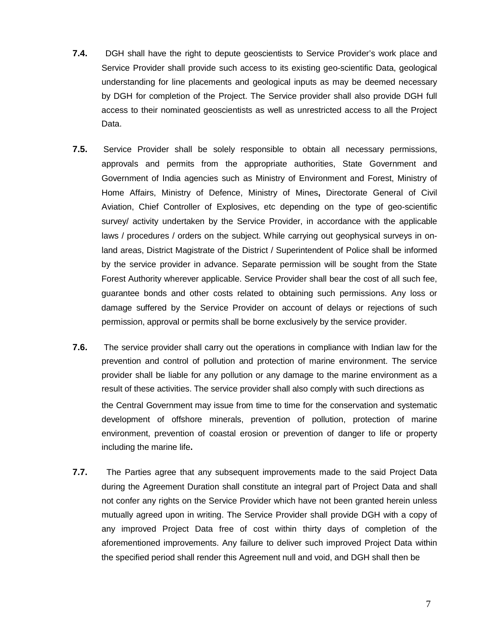- **7.4.** DGH shall have the right to depute geoscientists to Service Provider's work place and Service Provider shall provide such access to its existing geo-scientific Data, geological understanding for line placements and geological inputs as may be deemed necessary by DGH for completion of the Project. The Service provider shall also provide DGH full access to their nominated geoscientists as well as unrestricted access to all the Project Data.
- **7.5.** Service Provider shall be solely responsible to obtain all necessary permissions, approvals and permits from the appropriate authorities, State Government and Government of India agencies such as Ministry of Environment and Forest, Ministry of Home Affairs, Ministry of Defence, Ministry of Mines**,** Directorate General of Civil Aviation, Chief Controller of Explosives, etc depending on the type of geo-scientific survey/ activity undertaken by the Service Provider, in accordance with the applicable laws / procedures / orders on the subject. While carrying out geophysical surveys in onland areas, District Magistrate of the District / Superintendent of Police shall be informed by the service provider in advance. Separate permission will be sought from the State Forest Authority wherever applicable. Service Provider shall bear the cost of all such fee, guarantee bonds and other costs related to obtaining such permissions. Any loss or damage suffered by the Service Provider on account of delays or rejections of such permission, approval or permits shall be borne exclusively by the service provider.
- **7.6.** The service provider shall carry out the operations in compliance with Indian law for the prevention and control of pollution and protection of marine environment. The service provider shall be liable for any pollution or any damage to the marine environment as a result of these activities. The service provider shall also comply with such directions as the Central Government may issue from time to time for the conservation and systematic development of offshore minerals, prevention of pollution, protection of marine environment, prevention of coastal erosion or prevention of danger to life or property including the marine life**.**
- **7.7.** The Parties agree that any subsequent improvements made to the said Project Data during the Agreement Duration shall constitute an integral part of Project Data and shall not confer any rights on the Service Provider which have not been granted herein unless mutually agreed upon in writing. The Service Provider shall provide DGH with a copy of any improved Project Data free of cost within thirty days of completion of the aforementioned improvements. Any failure to deliver such improved Project Data within the specified period shall render this Agreement null and void, and DGH shall then be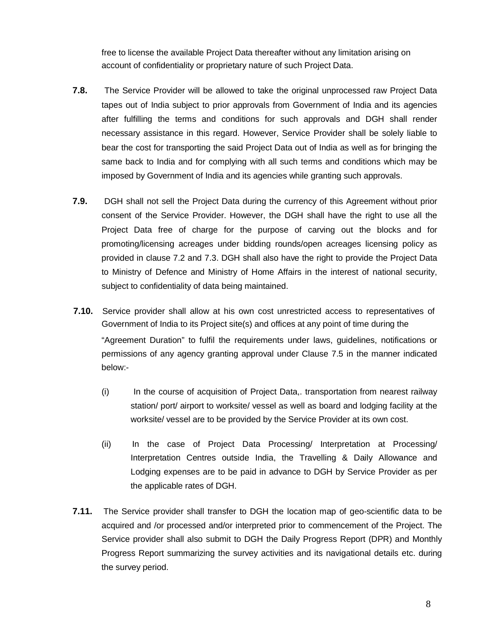free to license the available Project Data thereafter without any limitation arising on account of confidentiality or proprietary nature of such Project Data.

- **7.8.** The Service Provider will be allowed to take the original unprocessed raw Project Data tapes out of India subject to prior approvals from Government of India and its agencies after fulfilling the terms and conditions for such approvals and DGH shall render necessary assistance in this regard. However, Service Provider shall be solely liable to bear the cost for transporting the said Project Data out of India as well as for bringing the same back to India and for complying with all such terms and conditions which may be imposed by Government of India and its agencies while granting such approvals.
- **7.9.** DGH shall not sell the Project Data during the currency of this Agreement without prior consent of the Service Provider. However, the DGH shall have the right to use all the Project Data free of charge for the purpose of carving out the blocks and for promoting/licensing acreages under bidding rounds/open acreages licensing policy as provided in clause 7.2 and 7.3. DGH shall also have the right to provide the Project Data to Ministry of Defence and Ministry of Home Affairs in the interest of national security, subject to confidentiality of data being maintained.
- **7.10.** Service provider shall allow at his own cost unrestricted access to representatives of Government of India to its Project site(s) and offices at any point of time during the "Agreement Duration" to fulfil the requirements under laws, guidelines, notifications or permissions of any agency granting approval under Clause 7.5 in the manner indicated below:-
	- (i) In the course of acquisition of Project Data,. transportation from nearest railway station/ port/ airport to worksite/ vessel as well as board and lodging facility at the worksite/ vessel are to be provided by the Service Provider at its own cost.
	- (ii) In the case of Project Data Processing/ Interpretation at Processing/ Interpretation Centres outside India, the Travelling & Daily Allowance and Lodging expenses are to be paid in advance to DGH by Service Provider as per the applicable rates of DGH.
- **7.11.** The Service provider shall transfer to DGH the location map of geo-scientific data to be acquired and /or processed and/or interpreted prior to commencement of the Project. The Service provider shall also submit to DGH the Daily Progress Report (DPR) and Monthly Progress Report summarizing the survey activities and its navigational details etc. during the survey period.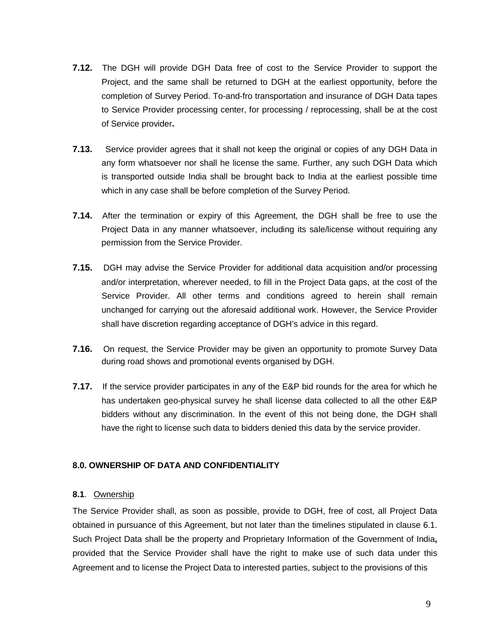- **7.12.** The DGH will provide DGH Data free of cost to the Service Provider to support the Project, and the same shall be returned to DGH at the earliest opportunity, before the completion of Survey Period. To-and-fro transportation and insurance of DGH Data tapes to Service Provider processing center, for processing / reprocessing, shall be at the cost of Service provider**.**
- **7.13.** Service provider agrees that it shall not keep the original or copies of any DGH Data in any form whatsoever nor shall he license the same. Further, any such DGH Data which is transported outside India shall be brought back to India at the earliest possible time which in any case shall be before completion of the Survey Period.
- **7.14.** After the termination or expiry of this Agreement, the DGH shall be free to use the Project Data in any manner whatsoever, including its sale/license without requiring any permission from the Service Provider.
- **7.15.** DGH may advise the Service Provider for additional data acquisition and/or processing and/or interpretation, wherever needed, to fill in the Project Data gaps, at the cost of the Service Provider. All other terms and conditions agreed to herein shall remain unchanged for carrying out the aforesaid additional work. However, the Service Provider shall have discretion regarding acceptance of DGH's advice in this regard.
- **7.16.** On request, the Service Provider may be given an opportunity to promote Survey Data during road shows and promotional events organised by DGH.
- **7.17.** If the service provider participates in any of the E&P bid rounds for the area for which he has undertaken geo-physical survey he shall license data collected to all the other E&P bidders without any discrimination. In the event of this not being done, the DGH shall have the right to license such data to bidders denied this data by the service provider.

#### **8.0. OWNERSHIP OF DATA AND CONFIDENTIALITY**

#### **8.1**. Ownership

The Service Provider shall, as soon as possible, provide to DGH, free of cost, all Project Data obtained in pursuance of this Agreement, but not later than the timelines stipulated in clause 6.1. Such Project Data shall be the property and Proprietary Information of the Government of India**,**  provided that the Service Provider shall have the right to make use of such data under this Agreement and to license the Project Data to interested parties, subject to the provisions of this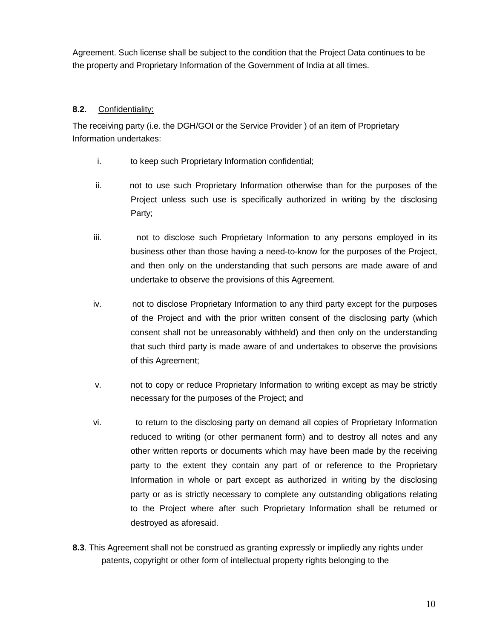Agreement. Such license shall be subject to the condition that the Project Data continues to be the property and Proprietary Information of the Government of India at all times.

#### **8.2.** Confidentiality:

The receiving party (i.e. the DGH/GOI or the Service Provider ) of an item of Proprietary Information undertakes:

- i. to keep such Proprietary Information confidential;
- ii. not to use such Proprietary Information otherwise than for the purposes of the Project unless such use is specifically authorized in writing by the disclosing Party;
- iii. not to disclose such Proprietary Information to any persons employed in its business other than those having a need-to-know for the purposes of the Project, and then only on the understanding that such persons are made aware of and undertake to observe the provisions of this Agreement.
- iv. not to disclose Proprietary Information to any third party except for the purposes of the Project and with the prior written consent of the disclosing party (which consent shall not be unreasonably withheld) and then only on the understanding that such third party is made aware of and undertakes to observe the provisions of this Agreement;
- v. not to copy or reduce Proprietary Information to writing except as may be strictly necessary for the purposes of the Project; and
- vi. to return to the disclosing party on demand all copies of Proprietary Information reduced to writing (or other permanent form) and to destroy all notes and any other written reports or documents which may have been made by the receiving party to the extent they contain any part of or reference to the Proprietary Information in whole or part except as authorized in writing by the disclosing party or as is strictly necessary to complete any outstanding obligations relating to the Project where after such Proprietary Information shall be returned or destroyed as aforesaid.
- **8.3**. This Agreement shall not be construed as granting expressly or impliedly any rights under patents, copyright or other form of intellectual property rights belonging to the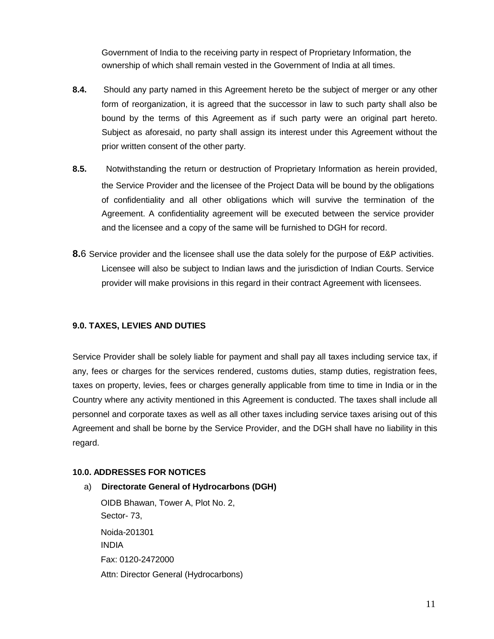Government of India to the receiving party in respect of Proprietary Information, the ownership of which shall remain vested in the Government of India at all times.

- **8.4.** Should any party named in this Agreement hereto be the subject of merger or any other form of reorganization, it is agreed that the successor in law to such party shall also be bound by the terms of this Agreement as if such party were an original part hereto. Subject as aforesaid, no party shall assign its interest under this Agreement without the prior written consent of the other party.
- **8.5.** Notwithstanding the return or destruction of Proprietary Information as herein provided, the Service Provider and the licensee of the Project Data will be bound by the obligations of confidentiality and all other obligations which will survive the termination of the Agreement. A confidentiality agreement will be executed between the service provider and the licensee and a copy of the same will be furnished to DGH for record.
- **8.**6 Service provider and the licensee shall use the data solely for the purpose of E&P activities. Licensee will also be subject to Indian laws and the jurisdiction of Indian Courts. Service provider will make provisions in this regard in their contract Agreement with licensees.

#### **9.0. TAXES, LEVIES AND DUTIES**

Service Provider shall be solely liable for payment and shall pay all taxes including service tax, if any, fees or charges for the services rendered, customs duties, stamp duties, registration fees, taxes on property, levies, fees or charges generally applicable from time to time in India or in the Country where any activity mentioned in this Agreement is conducted. The taxes shall include all personnel and corporate taxes as well as all other taxes including service taxes arising out of this Agreement and shall be borne by the Service Provider, and the DGH shall have no liability in this regard.

#### **10.0. ADDRESSES FOR NOTICES**

a) **Directorate General of Hydrocarbons (DGH)** OIDB Bhawan, Tower A, Plot No. 2, Sector- 73, Noida-201301 INDIA Fax: 0120-2472000 Attn: Director General (Hydrocarbons)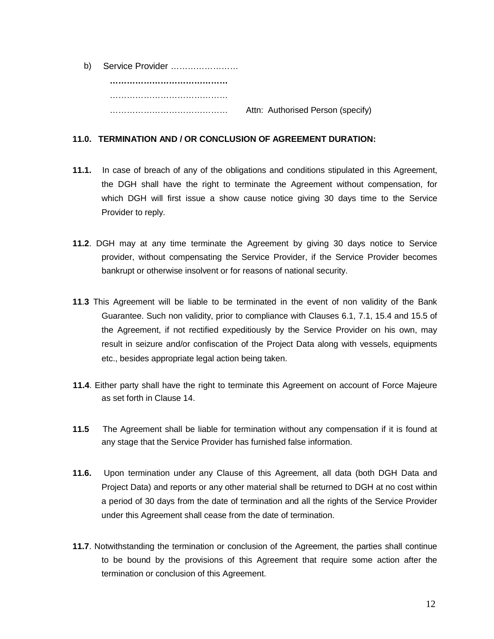| b) | Service Provider |                                   |
|----|------------------|-----------------------------------|
|    |                  |                                   |
|    |                  |                                   |
|    |                  | Attn: Authorised Person (specify) |

#### **11.0. TERMINATION AND / OR CONCLUSION OF AGREEMENT DURATION:**

- **11.1.** In case of breach of any of the obligations and conditions stipulated in this Agreement, the DGH shall have the right to terminate the Agreement without compensation, for which DGH will first issue a show cause notice giving 30 days time to the Service Provider to reply.
- **11.2**. DGH may at any time terminate the Agreement by giving 30 days notice to Service provider, without compensating the Service Provider, if the Service Provider becomes bankrupt or otherwise insolvent or for reasons of national security.
- **11**.**3** This Agreement will be liable to be terminated in the event of non validity of the Bank Guarantee. Such non validity, prior to compliance with Clauses 6.1, 7.1, 15.4 and 15.5 of the Agreement, if not rectified expeditiously by the Service Provider on his own, may result in seizure and/or confiscation of the Project Data along with vessels, equipments etc., besides appropriate legal action being taken.
- **11.4**. Either party shall have the right to terminate this Agreement on account of Force Majeure as set forth in Clause 14.
- **11.5** The Agreement shall be liable for termination without any compensation if it is found at any stage that the Service Provider has furnished false information.
- **11.6.** Upon termination under any Clause of this Agreement, all data (both DGH Data and Project Data) and reports or any other material shall be returned to DGH at no cost within a period of 30 days from the date of termination and all the rights of the Service Provider under this Agreement shall cease from the date of termination.
- **11.7**. Notwithstanding the termination or conclusion of the Agreement, the parties shall continue to be bound by the provisions of this Agreement that require some action after the termination or conclusion of this Agreement.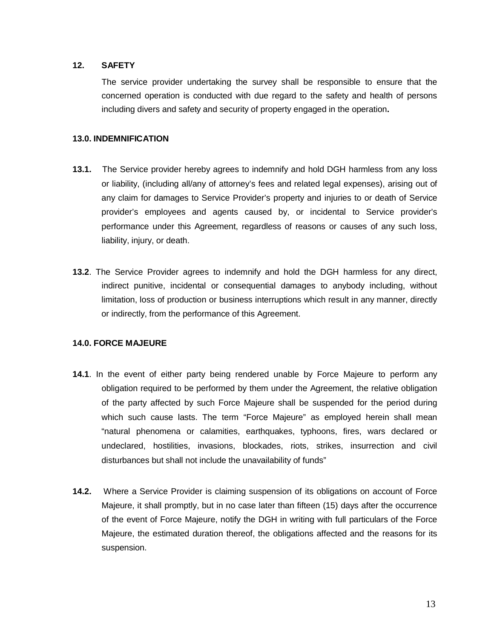#### **12. SAFETY**

The service provider undertaking the survey shall be responsible to ensure that the concerned operation is conducted with due regard to the safety and health of persons including divers and safety and security of property engaged in the operation**.**

#### **13.0. INDEMNIFICATION**

- **13.1.** The Service provider hereby agrees to indemnify and hold DGH harmless from any loss or liability, (including all/any of attorney's fees and related legal expenses), arising out of any claim for damages to Service Provider's property and injuries to or death of Service provider's employees and agents caused by, or incidental to Service provider's performance under this Agreement, regardless of reasons or causes of any such loss, liability, injury, or death.
- **13.2**. The Service Provider agrees to indemnify and hold the DGH harmless for any direct, indirect punitive, incidental or consequential damages to anybody including, without limitation, loss of production or business interruptions which result in any manner, directly or indirectly, from the performance of this Agreement.

#### **14.0. FORCE MAJEURE**

- **14.1**. In the event of either party being rendered unable by Force Majeure to perform any obligation required to be performed by them under the Agreement, the relative obligation of the party affected by such Force Majeure shall be suspended for the period during which such cause lasts. The term "Force Majeure" as employed herein shall mean "natural phenomena or calamities, earthquakes, typhoons, fires, wars declared or undeclared, hostilities, invasions, blockades, riots, strikes, insurrection and civil disturbances but shall not include the unavailability of funds"
- **14.2.** Where a Service Provider is claiming suspension of its obligations on account of Force Majeure, it shall promptly, but in no case later than fifteen (15) days after the occurrence of the event of Force Majeure, notify the DGH in writing with full particulars of the Force Majeure, the estimated duration thereof, the obligations affected and the reasons for its suspension.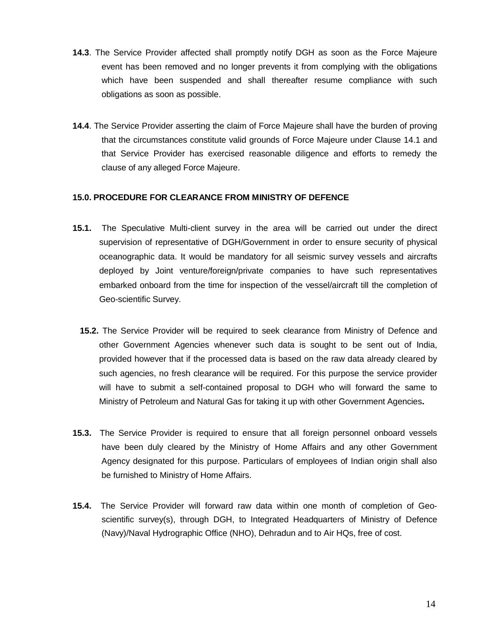- **14.3**. The Service Provider affected shall promptly notify DGH as soon as the Force Majeure event has been removed and no longer prevents it from complying with the obligations which have been suspended and shall thereafter resume compliance with such obligations as soon as possible.
- **14.4**. The Service Provider asserting the claim of Force Majeure shall have the burden of proving that the circumstances constitute valid grounds of Force Majeure under Clause 14.1 and that Service Provider has exercised reasonable diligence and efforts to remedy the clause of any alleged Force Majeure.

#### **15.0. PROCEDURE FOR CLEARANCE FROM MINISTRY OF DEFENCE**

- **15.1.** The Speculative Multi-client survey in the area will be carried out under the direct supervision of representative of DGH/Government in order to ensure security of physical oceanographic data. It would be mandatory for all seismic survey vessels and aircrafts deployed by Joint venture/foreign/private companies to have such representatives embarked onboard from the time for inspection of the vessel/aircraft till the completion of Geo-scientific Survey.
	- **15.2.** The Service Provider will be required to seek clearance from Ministry of Defence and other Government Agencies whenever such data is sought to be sent out of India, provided however that if the processed data is based on the raw data already cleared by such agencies, no fresh clearance will be required. For this purpose the service provider will have to submit a self-contained proposal to DGH who will forward the same to Ministry of Petroleum and Natural Gas for taking it up with other Government Agencies**.**
- **15.3.** The Service Provider is required to ensure that all foreign personnel onboard vessels have been duly cleared by the Ministry of Home Affairs and any other Government Agency designated for this purpose. Particulars of employees of Indian origin shall also be furnished to Ministry of Home Affairs.
- **15.4.** The Service Provider will forward raw data within one month of completion of Geoscientific survey(s), through DGH, to Integrated Headquarters of Ministry of Defence (Navy)/Naval Hydrographic Office (NHO), Dehradun and to Air HQs, free of cost.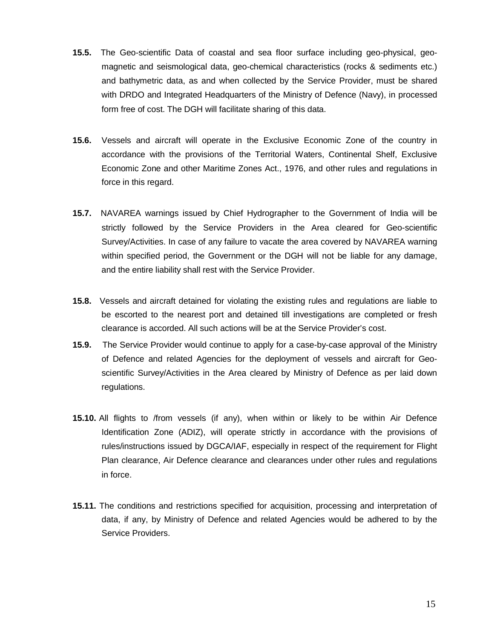- **15.5.** The Geo-scientific Data of coastal and sea floor surface including geo-physical, geomagnetic and seismological data, geo-chemical characteristics (rocks & sediments etc.) and bathymetric data, as and when collected by the Service Provider, must be shared with DRDO and Integrated Headquarters of the Ministry of Defence (Navy), in processed form free of cost. The DGH will facilitate sharing of this data.
- **15.6.** Vessels and aircraft will operate in the Exclusive Economic Zone of the country in accordance with the provisions of the Territorial Waters, Continental Shelf, Exclusive Economic Zone and other Maritime Zones Act., 1976, and other rules and regulations in force in this regard.
- **15.7.** NAVAREA warnings issued by Chief Hydrographer to the Government of India will be strictly followed by the Service Providers in the Area cleared for Geo-scientific Survey/Activities. In case of any failure to vacate the area covered by NAVAREA warning within specified period, the Government or the DGH will not be liable for any damage, and the entire liability shall rest with the Service Provider.
- **15.8.** Vessels and aircraft detained for violating the existing rules and regulations are liable to be escorted to the nearest port and detained till investigations are completed or fresh clearance is accorded. All such actions will be at the Service Provider's cost.
- **15.9.** The Service Provider would continue to apply for a case-by-case approval of the Ministry of Defence and related Agencies for the deployment of vessels and aircraft for Geoscientific Survey/Activities in the Area cleared by Ministry of Defence as per laid down regulations.
- **15.10.** All flights to /from vessels (if any), when within or likely to be within Air Defence Identification Zone (ADIZ), will operate strictly in accordance with the provisions of rules/instructions issued by DGCA/IAF, especially in respect of the requirement for Flight Plan clearance, Air Defence clearance and clearances under other rules and regulations in force.
- **15.11.** The conditions and restrictions specified for acquisition, processing and interpretation of data, if any, by Ministry of Defence and related Agencies would be adhered to by the Service Providers.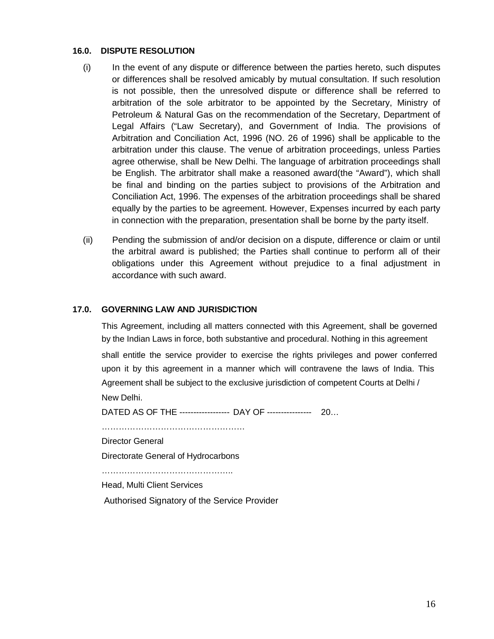#### **16.0. DISPUTE RESOLUTION**

- (i) In the event of any dispute or difference between the parties hereto, such disputes or differences shall be resolved amicably by mutual consultation. If such resolution is not possible, then the unresolved dispute or difference shall be referred to arbitration of the sole arbitrator to be appointed by the Secretary, Ministry of Petroleum & Natural Gas on the recommendation of the Secretary, Department of Legal Affairs ("Law Secretary), and Government of India. The provisions of Arbitration and Conciliation Act, 1996 (NO. 26 of 1996) shall be applicable to the arbitration under this clause. The venue of arbitration proceedings, unless Parties agree otherwise, shall be New Delhi. The language of arbitration proceedings shall be English. The arbitrator shall make a reasoned award(the "Award"), which shall be final and binding on the parties subject to provisions of the Arbitration and Conciliation Act, 1996. The expenses of the arbitration proceedings shall be shared equally by the parties to be agreement. However, Expenses incurred by each party in connection with the preparation, presentation shall be borne by the party itself.
- (ii) Pending the submission of and/or decision on a dispute, difference or claim or until the arbitral award is published; the Parties shall continue to perform all of their obligations under this Agreement without prejudice to a final adjustment in accordance with such award.

#### **17.0. GOVERNING LAW AND JURISDICTION**

This Agreement, including all matters connected with this Agreement, shall be governed by the Indian Laws in force, both substantive and procedural. Nothing in this agreement

shall entitle the service provider to exercise the rights privileges and power conferred upon it by this agreement in a manner which will contravene the laws of India. This Agreement shall be subject to the exclusive jurisdiction of competent Courts at Delhi / New Delhi.

DATED AS OF THE ------------------ DAY OF ---------------- 20…

……………………………………………

Director General

Directorate General of Hydrocarbons

………………………………………..

Head, Multi Client Services

Authorised Signatory of the Service Provider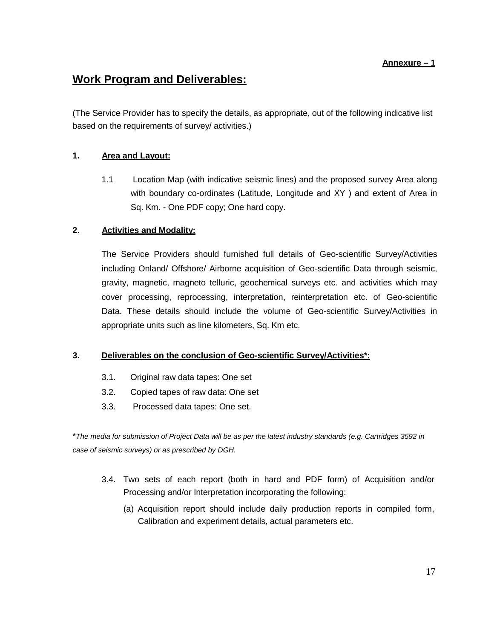#### **Annexure – 1**

# **Work Program and Deliverables:**

(The Service Provider has to specify the details, as appropriate, out of the following indicative list based on the requirements of survey/ activities.)

### **1. Area and Layout:**

1.1 Location Map (with indicative seismic lines) and the proposed survey Area along with boundary co-ordinates (Latitude, Longitude and XY ) and extent of Area in Sq. Km. - One PDF copy; One hard copy.

#### **2. Activities and Modality:**

The Service Providers should furnished full details of Geo-scientific Survey/Activities including Onland/ Offshore/ Airborne acquisition of Geo-scientific Data through seismic, gravity, magnetic, magneto telluric, geochemical surveys etc. and activities which may cover processing, reprocessing, interpretation, reinterpretation etc. of Geo-scientific Data. These details should include the volume of Geo-scientific Survey/Activities in appropriate units such as line kilometers, Sq. Km etc.

#### **3. Deliverables on the conclusion of Geo-scientific Survey/Activities\*:**

- 3.1. Original raw data tapes: One set
- 3.2. Copied tapes of raw data: One set
- 3.3. Processed data tapes: One set.

\**The media for submission of Project Data will be as per the latest industry standards (e.g. Cartridges 3592 in case of seismic surveys) or as prescribed by DGH.*

- 3.4. Two sets of each report (both in hard and PDF form) of Acquisition and/or Processing and/or Interpretation incorporating the following:
	- (a) Acquisition report should include daily production reports in compiled form, Calibration and experiment details, actual parameters etc.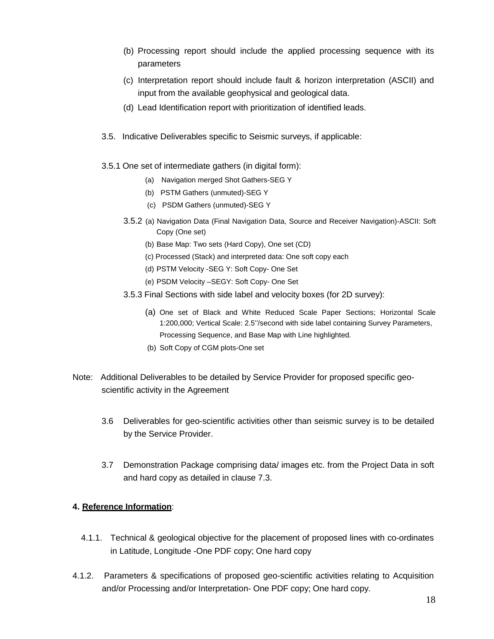- (b) Processing report should include the applied processing sequence with its parameters
- (c) Interpretation report should include fault & horizon interpretation (ASCII) and input from the available geophysical and geological data.
- (d) Lead Identification report with prioritization of identified leads.
- 3.5. Indicative Deliverables specific to Seismic surveys, if applicable:
- 3.5.1 One set of intermediate gathers (in digital form):
	- (a) Navigation merged Shot Gathers-SEG Y
	- (b) PSTM Gathers (unmuted)-SEG Y
	- (c) PSDM Gathers (unmuted)-SEG Y
	- 3.5.2 (a) Navigation Data (Final Navigation Data, Source and Receiver Navigation)-ASCII: Soft Copy (One set)
		- (b) Base Map: Two sets (Hard Copy), One set (CD)
		- (c) Processed (Stack) and interpreted data: One soft copy each
		- (d) PSTM Velocity -SEG Y: Soft Copy- One Set
		- (e) PSDM Velocity –SEGY: Soft Copy- One Set
	- 3.5.3 Final Sections with side label and velocity boxes (for 2D survey):
		- (a) One set of Black and White Reduced Scale Paper Sections; Horizontal Scale 1:200,000; Vertical Scale: 2.5''/second with side label containing Survey Parameters, Processing Sequence, and Base Map with Line highlighted.
		- (b) Soft Copy of CGM plots-One set
- Note: Additional Deliverables to be detailed by Service Provider for proposed specific geoscientific activity in the Agreement
	- 3.6 Deliverables for geo-scientific activities other than seismic survey is to be detailed by the Service Provider.
	- 3.7 Demonstration Package comprising data/ images etc. from the Project Data in soft and hard copy as detailed in clause 7.3.

#### **4. Reference Information**:

- 4.1.1. Technical & geological objective for the placement of proposed lines with co-ordinates in Latitude, Longitude -One PDF copy; One hard copy
- 4.1.2. Parameters & specifications of proposed geo-scientific activities relating to Acquisition and/or Processing and/or Interpretation- One PDF copy; One hard copy.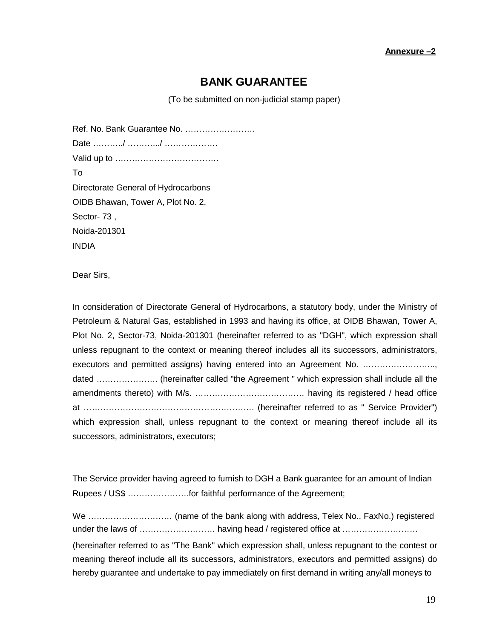#### **Annexure –2**

## **BANK GUARANTEE**

(To be submitted on non-judicial stamp paper)

Ref. No. Bank Guarantee No. ……………………. Date …………/ …………/ …………………… Valid up to ………………………………. To Directorate General of Hydrocarbons OIDB Bhawan, Tower A, Plot No. 2, Sector- 73 , Noida-201301 INDIA

Dear Sirs,

In consideration of Directorate General of Hydrocarbons, a statutory body, under the Ministry of Petroleum & Natural Gas, established in 1993 and having its office, at OIDB Bhawan, Tower A, Plot No. 2, Sector-73, Noida-201301 (hereinafter referred to as "DGH", which expression shall unless repugnant to the context or meaning thereof includes all its successors, administrators, executors and permitted assigns) having entered into an Agreement No. ……………………… dated …………………. (hereinafter called "the Agreement " which expression shall include all the amendments thereto) with M/s. ………………………………… having its registered / head office at ……………………………………………………. (hereinafter referred to as " Service Provider") which expression shall, unless repugnant to the context or meaning thereof include all its successors, administrators, executors;

The Service provider having agreed to furnish to DGH a Bank guarantee for an amount of Indian Rupees / US\$ ………………….for faithful performance of the Agreement;

We ………………………… (name of the bank along with address, Telex No., FaxNo.) registered under the laws of …………………………………… having head / registered office at ……………………………… (hereinafter referred to as "The Bank" which expression shall, unless repugnant to the contest or meaning thereof include all its successors, administrators, executors and permitted assigns) do hereby guarantee and undertake to pay immediately on first demand in writing any/all moneys to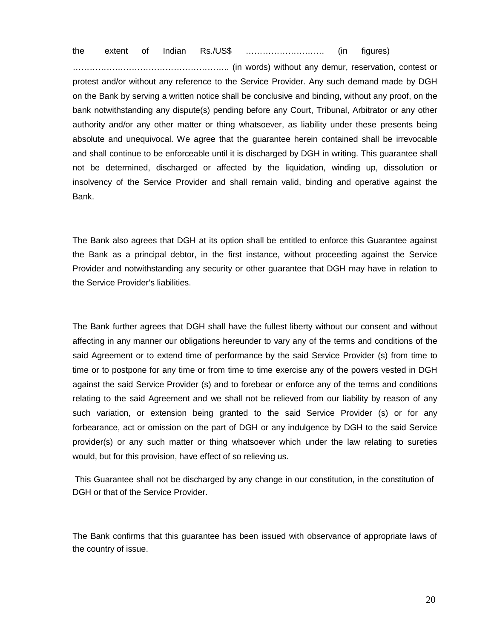the extent of Indian Rs./US\$ ………………………. (in figures)

……………………………………………….. (in words) without any demur, reservation, contest or protest and/or without any reference to the Service Provider. Any such demand made by DGH on the Bank by serving a written notice shall be conclusive and binding, without any proof, on the bank notwithstanding any dispute(s) pending before any Court, Tribunal, Arbitrator or any other authority and/or any other matter or thing whatsoever, as liability under these presents being absolute and unequivocal. We agree that the guarantee herein contained shall be irrevocable and shall continue to be enforceable until it is discharged by DGH in writing. This guarantee shall not be determined, discharged or affected by the liquidation, winding up, dissolution or insolvency of the Service Provider and shall remain valid, binding and operative against the Bank.

The Bank also agrees that DGH at its option shall be entitled to enforce this Guarantee against the Bank as a principal debtor, in the first instance, without proceeding against the Service Provider and notwithstanding any security or other guarantee that DGH may have in relation to the Service Provider's liabilities.

The Bank further agrees that DGH shall have the fullest liberty without our consent and without affecting in any manner our obligations hereunder to vary any of the terms and conditions of the said Agreement or to extend time of performance by the said Service Provider (s) from time to time or to postpone for any time or from time to time exercise any of the powers vested in DGH against the said Service Provider (s) and to forebear or enforce any of the terms and conditions relating to the said Agreement and we shall not be relieved from our liability by reason of any such variation, or extension being granted to the said Service Provider (s) or for any forbearance, act or omission on the part of DGH or any indulgence by DGH to the said Service provider(s) or any such matter or thing whatsoever which under the law relating to sureties would, but for this provision, have effect of so relieving us.

This Guarantee shall not be discharged by any change in our constitution, in the constitution of DGH or that of the Service Provider.

The Bank confirms that this guarantee has been issued with observance of appropriate laws of the country of issue.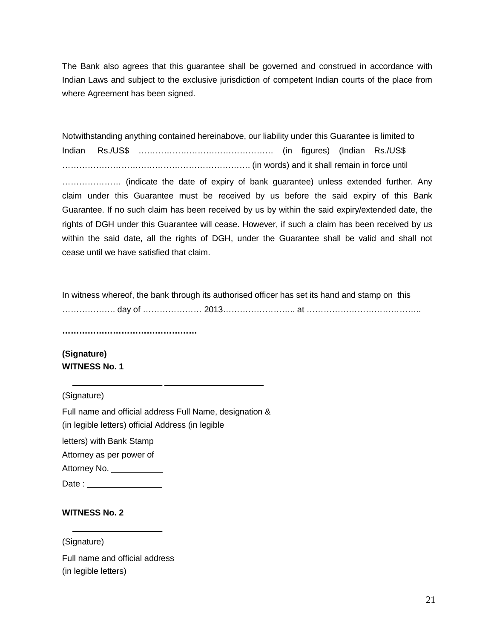The Bank also agrees that this guarantee shall be governed and construed in accordance with Indian Laws and subject to the exclusive jurisdiction of competent Indian courts of the place from where Agreement has been signed.

Notwithstanding anything contained hereinabove, our liability under this Guarantee is limited to Indian Rs./US\$ ………………………………………… (in figures) (Indian Rs./US\$ …………………………………………………………. (in words) and it shall remain in force until ………………… (indicate the date of expiry of bank guarantee) unless extended further. Any claim under this Guarantee must be received by us before the said expiry of this Bank Guarantee. If no such claim has been received by us by within the said expiry/extended date, the rights of DGH under this Guarantee will cease. However, if such a claim has been received by us within the said date, all the rights of DGH, under the Guarantee shall be valid and shall not cease until we have satisfied that claim.

In witness whereof, the bank through its authorised officer has set its hand and stamp on this ………………. day of ………………… 2013…………………….. at …………………………………..

**…………………………………………** 

**(Signature) WITNESS No. 1**

(Signature)

Full name and official address Full Name, designation & (in legible letters) official Address (in legible letters) with Bank Stamp Attorney as per power of Attorney No. \_\_\_\_\_\_\_\_\_\_\_\_\_

Date : \_\_\_\_\_\_

#### **WITNESS No. 2**

(Signature) Full name and official address (in legible letters)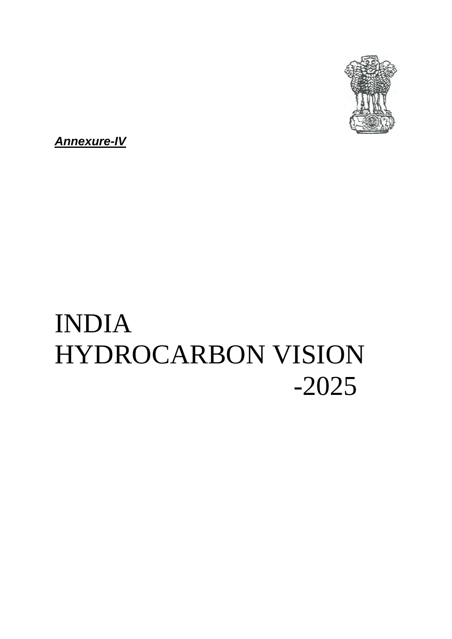

*Annexure-IV*

# INDIA HYDROCARBON VISION -2025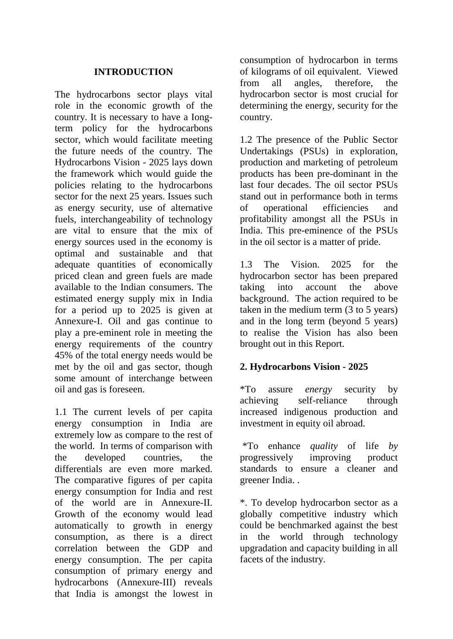## **INTRODUCTION**

The hydrocarbons sector plays vital role in the economic growth of the country. It is necessary to have a Iongterm policy for the hydrocarbons sector, which would facilitate meeting the future needs of the country. The Hydrocarbons Vision - 2025 lays down the framework which would guide the policies relating to the hydrocarbons sector for the next 25 years. Issues such as energy security, use of alternative fuels, interchangeability of technology are vital to ensure that the mix of energy sources used in the economy is optimal and sustainable and that adequate quantities of economically priced clean and green fuels are made available to the Indian consumers. The estimated energy supply mix in India for a period up to 2025 is given at Annexure-I. Oil and gas continue to play a pre-eminent role in meeting the energy requirements of the country 45% of the total energy needs would be met by the oil and gas sector, though some amount of interchange between oil and gas is foreseen.

1.1 The current levels of per capita energy consumption in India are extremely low as compare to the rest of the world. In terms of comparison with the developed countries, the differentials are even more marked. The comparative figures of per capita energy consumption for India and rest of the world are in Annexure-II. Growth of the economy would lead automatically to growth in energy consumption, as there is a direct correlation between the GDP and energy consumption. The per capita consumption of primary energy and hydrocarbons (Annexure-III) reveals that India is amongst the lowest in

consumption of hydrocarbon in terms of kilograms of oil equivalent. Viewed from all angles, therefore, the hydrocarbon sector is most crucial for determining the energy, security for the country.

1.2 The presence of the Public Sector Undertakings (PSUs) in exploration, production and marketing of petroleum products has been pre-dominant in the last four decades. The oil sector PSUs stand out in performance both in terms of operational efficiencies and profitability amongst all the PSUs in India. This pre-eminence of the PSUs in the oil sector is a matter of pride.

1.3 The Vision. 2025 for the hydrocarbon sector has been prepared taking into account the above background. The action required to be taken in the medium term (3 to 5 years) and in the long term (beyond 5 years) to realise the Vision has also been brought out in this Report.

## **2. Hydrocarbons Vision - 2025**

\*To assure *energy* security by achieving self-reliance through increased indigenous production and investment in equity oil abroad.

\*To enhance *quality* of life *by*  progressively improving product standards to ensure a cleaner and greener India. .

\*. To develop hydrocarbon sector as a globally competitive industry which could be benchmarked against the best in the world through technology upgradation and capacity building in all facets of the industry.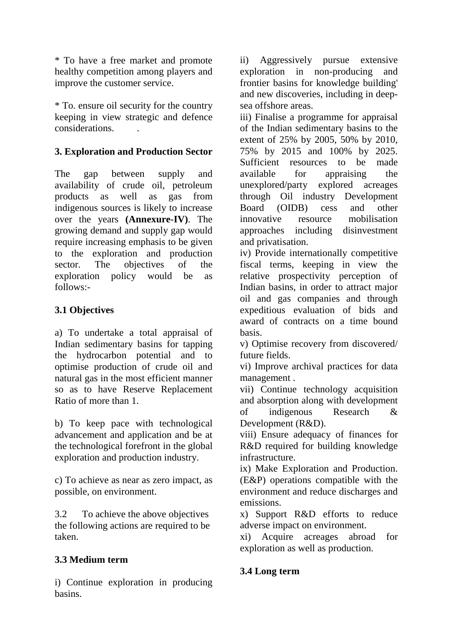\* To have a free market and promote healthy competition among players and improve the customer service.

\* To. ensure oil security for the country keeping in view strategic and defence considerations. .

## **3. Exploration and Production Sector**

The gap between supply and availability of crude oil, petroleum products as well as gas from indigenous sources is likely to increase over the years **(Annexure-IV)**. The growing demand and supply gap would require increasing emphasis to be given to the exploration and production sector. The objectives of the exploration policy would be as follows:-

# **3.1 Objectives**

a) To undertake a total appraisal of Indian sedimentary basins for tapping the hydrocarbon potential and to optimise production of crude oil and natural gas in the most efficient manner so as to have Reserve Replacement Ratio of more than 1.

b) To keep pace with technological advancement and application and be at the technological forefront in the global exploration and production industry.

c) To achieve as near as zero impact, as possible, on environment.

3.2 To achieve the above objectives the following actions are required to be taken.

## **3.3 Medium term**

i) Continue exploration in producing basins.

ii) Aggressively pursue extensive exploration in non-producing and frontier basins for knowledge building' and new discoveries, including in deepsea offshore areas.

iii) Finalise a programme for appraisal of the Indian sedimentary basins to the extent of 25% by 2005, 50% by 2010, 75% by 2015 and 100% by 2025. Sufficient resources to be made available for appraising the unexplored/party explored acreages through Oil industry Development Board (OIDB) cess and other innovative resource mobilisation approaches including disinvestment and privatisation.

iv) Provide internationally competitive fiscal terms, keeping in view the relative prospectivity perception of Indian basins, in order to attract major oil and gas companies and through expeditious evaluation of bids and award of contracts on a time bound basis.

v) Optimise recovery from discovered/ future fields.

vi) Improve archival practices for data management .

vii) Continue technology acquisition and absorption along with development of indigenous Research & Development (R&D).

viii) Ensure adequacy of finances for R&D required for building knowledge infrastructure.

ix) Make Exploration and Production. (E&P) operations compatible with the environment and reduce discharges and emissions.

x) Support R&D efforts to reduce adverse impact on environment.

xi) Acquire acreages abroad for exploration as well as production.

## **3.4 Long term**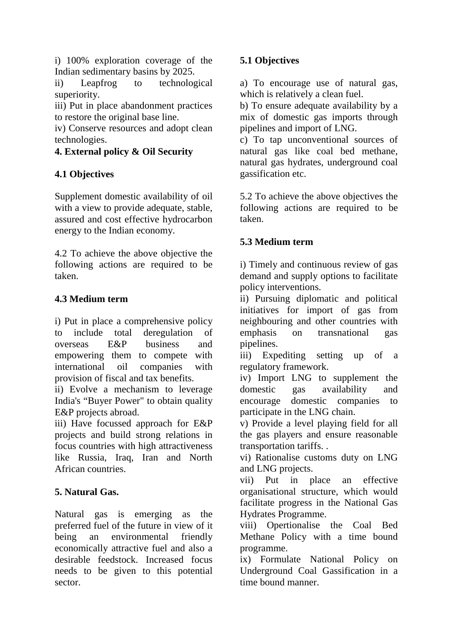i) 100% exploration coverage of the Indian sedimentary basins by 2025.<br>ii) Leapfrog to technolog

ii) Leapfrog to technological superiority.

iii) Put in place abandonment practices to restore the original base line.

iv) Conserve resources and adopt clean technologies.

# **4. External policy & Oil Security**

# **4.1 Objectives**

Supplement domestic availability of oil with a view to provide adequate, stable, assured and cost effective hydrocarbon energy to the Indian economy.

4.2 To achieve the above objective the following actions are required to be taken.

# **4.3 Medium term**

i) Put in place a comprehensive policy to include total deregulation of overseas E&P business and empowering them to compete with international oil companies with provision of fiscal and tax benefits.

ii) Evolve a mechanism to leverage India's "Buyer Power" to obtain quality E&P projects abroad.

iii) Have focussed approach for E&P projects and build strong relations in focus countries with high attractiveness like Russia, Iraq, Iran and North African countries.

# **5. Natural Gas.**

Natural gas is emerging as the preferred fuel of the future in view of it being an environmental friendly economically attractive fuel and also a desirable feedstock. Increased focus needs to be given to this potential sector.

# **5.1 Objectives**

a) To encourage use of natural gas, which is relatively a clean fuel.

b) To ensure adequate availability by a mix of domestic gas imports through pipelines and import of LNG.

c) To tap unconventional sources of natural gas like coal bed methane, natural gas hydrates, underground coal gassification etc.

5.2 To achieve the above objectives the following actions are required to be taken.

# **5.3 Medium term**

i) Timely and continuous review of gas demand and supply options to facilitate policy interventions.

ii) Pursuing diplomatic and political initiatives for import of gas from neighbouring and other countries with emphasis on transnational gas pipelines.

iii) Expediting setting up of a regulatory framework.

iv) Import LNG to supplement the domestic gas availability and encourage domestic companies to participate in the LNG chain.

v) Provide a level playing field for all the gas players and ensure reasonable transportation tariffs. .

vi) Rationalise customs duty on LNG and LNG projects.

vii) Put in place an effective organisational structure, which would facilitate progress in the National Gas Hydrates Programme.

viii) Opertionalise the Coal Bed Methane Policy with a time bound programme.

ix) Formulate National Policy on Underground Coal Gassification in a time bound manner.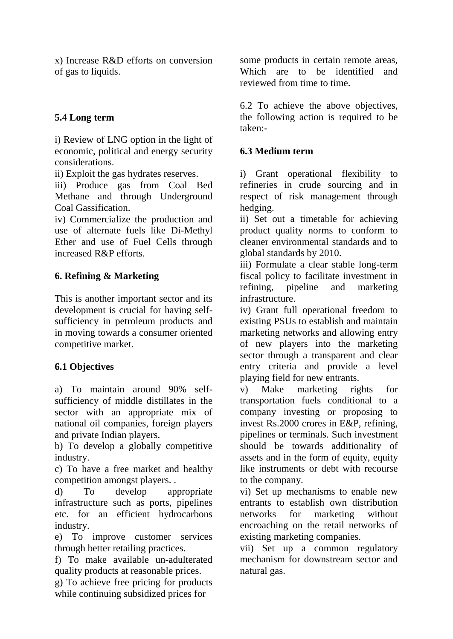x) Increase R&D efforts on conversion of gas to liquids.

## **5.4 Long term**

i) Review of LNG option in the light of economic, political and energy security considerations.

ii) Exploit the gas hydrates reserves.

iii) Produce gas from Coal Bed Methane and through Underground Coal Gassification.

iv) Commercialize the production and use of alternate fuels like Di-Methyl Ether and use of Fuel Cells through increased R&P efforts.

## **6. Refining & Marketing**

This is another important sector and its development is crucial for having selfsufficiency in petroleum products and in moving towards a consumer oriented competitive market.

## **6.1 Objectives**

a) To maintain around 90% selfsufficiency of middle distillates in the sector with an appropriate mix of national oil companies, foreign players and private Indian players.

b) To develop a globally competitive industry.

c) To have a free market and healthy competition amongst players. .

d) To develop appropriate infrastructure such as ports, pipelines etc. for an efficient hydrocarbons industry.

e) To improve customer services through better retailing practices.

f) To make available un-adulterated quality products at reasonable prices.

g) To achieve free pricing for products while continuing subsidized prices for

some products in certain remote areas, Which are to be identified and reviewed from time to time.

6.2 To achieve the above objectives, the following action is required to be taken:-

## **6.3 Medium term**

i) Grant operational flexibility to refineries in crude sourcing and in respect of risk management through hedging.

ii) Set out a timetable for achieving product quality norms to conform to cleaner environmental standards and to global standards by 2010.

iii) Formulate a clear stable long-term fiscal policy to facilitate investment in refining, pipeline and marketing infrastructure.

iv) Grant full operational freedom to existing PSUs to establish and maintain marketing networks and allowing entry of new players into the marketing sector through a transparent and clear entry criteria and provide a level playing field for new entrants.

v) Make marketing rights for transportation fuels conditional to a company investing or proposing to invest Rs.2000 crores in E&P, refining, pipelines or terminals. Such investment should be towards additionality of assets and in the form of equity, equity like instruments or debt with recourse to the company.

vi) Set up mechanisms to enable new entrants to establish own distribution networks for marketing without encroaching on the retail networks of existing marketing companies.

vii) Set up a common regulatory mechanism for downstream sector and natural gas.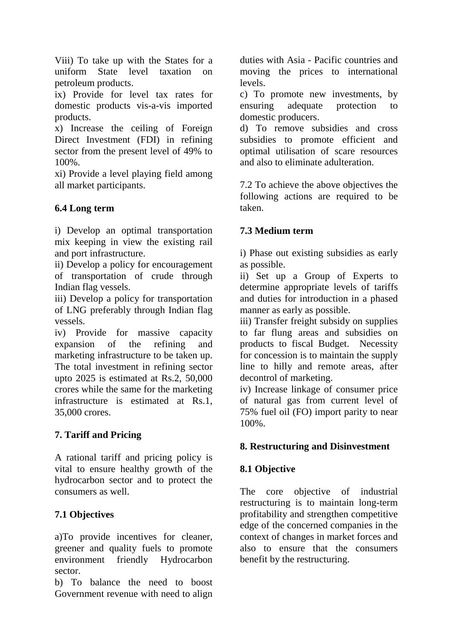Viii) To take up with the States for a uniform State level taxation on petroleum products.

ix) Provide for level tax rates for domestic products vis-a-vis imported products.

x) Increase the ceiling of Foreign Direct Investment (FDI) in refining sector from the present level of 49% to 100%.

xi) Provide a level playing field among all market participants.

# **6.4 Long term**

i) Develop an optimal transportation mix keeping in view the existing rail and port infrastructure.

ii) Develop a policy for encouragement of transportation of crude through Indian flag vessels.

iii) Develop a policy for transportation of LNG preferably through Indian flag vessels.

iv) Provide for massive capacity expansion of the refining and marketing infrastructure to be taken up. The total investment in refining sector upto 2025 is estimated at Rs.2, 50,000 crores while the same for the marketing infrastructure is estimated at Rs.1, 35,000 crores.

# **7. Tariff and Pricing**

A rational tariff and pricing policy is vital to ensure healthy growth of the hydrocarbon sector and to protect the consumers as well.

# **7.1 Objectives**

a)To provide incentives for cleaner, greener and quality fuels to promote environment friendly Hydrocarbon sector.

b) To balance the need to boost Government revenue with need to align duties with Asia - Pacific countries and moving the prices to international levels.

c) To promote new investments, by ensuring adequate protection to domestic producers.

d) To remove subsidies and cross subsidies to promote efficient and optimal utilisation of scare resources and also to eliminate adulteration.

7.2 To achieve the above objectives the following actions are required to be taken.

## **7.3 Medium term**

i) Phase out existing subsidies as early as possible.

ii) Set up a Group of Experts to determine appropriate levels of tariffs and duties for introduction in a phased manner as early as possible.

iii) Transfer freight subsidy on supplies to far flung areas and subsidies on products to fiscal Budget. Necessity for concession is to maintain the supply line to hilly and remote areas, after decontrol of marketing.

iv) Increase linkage of consumer price of natural gas from current level of 75% fuel oil (FO) import parity to near 100%.

## **8. Restructuring and Disinvestment**

## **8.1 Objective**

The core objective of industrial restructuring is to maintain long-term profitability and strengthen competitive edge of the concerned companies in the context of changes in market forces and also to ensure that the consumers benefit by the restructuring.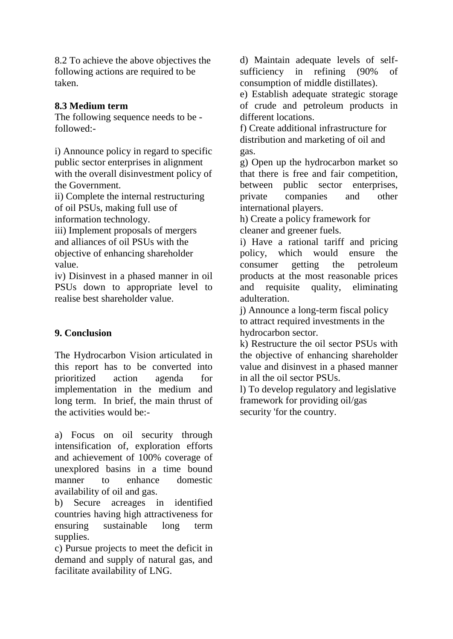8.2 To achieve the above objectives the following actions are required to be taken.

## **8.3 Medium term**

The following sequence needs to be followed:-

i) Announce policy in regard to specific public sector enterprises in alignment with the overall disinvestment policy of the Government.

ii) Complete the internal restructuring of oil PSUs, making full use of information technology.

iii) Implement proposals of mergers and alliances of oil PSUs with the objective of enhancing shareholder value.

iv) Disinvest in a phased manner in oil PSUs down to appropriate level to realise best shareholder value.

## **9. Conclusion**

The Hydrocarbon Vision articulated in this report has to be converted into prioritized action agenda for implementation in the medium and long term. In brief, the main thrust of the activities would be:-

a) Focus on oil security through intensification of, exploration efforts and achievement of 100% coverage of unexplored basins in a time bound manner to enhance domestic availability of oil and gas.

b) Secure acreages in identified countries having high attractiveness for ensuring sustainable long term supplies.

c) Pursue projects to meet the deficit in demand and supply of natural gas, and facilitate availability of LNG.

d) Maintain adequate levels of selfsufficiency in refining (90% of consumption of middle distillates).

e) Establish adequate strategic storage of crude and petroleum products in different locations.

f) Create additional infrastructure for distribution and marketing of oil and gas.

g) Open up the hydrocarbon market so that there is free and fair competition, between public sector enterprises, private companies and other international players.

h) Create a policy framework for cleaner and greener fuels.

i) Have a rational tariff and pricing policy, which would ensure the consumer getting the petroleum products at the most reasonable prices and requisite quality, eliminating adulteration.

j) Announce a long-term fiscal policy to attract required investments in the hydrocarbon sector.

k) Restructure the oil sector PSUs with the objective of enhancing shareholder value and disinvest in a phased manner in all the oil sector PSUs.

l) To develop regulatory and legislative framework for providing oil/gas security 'for the country.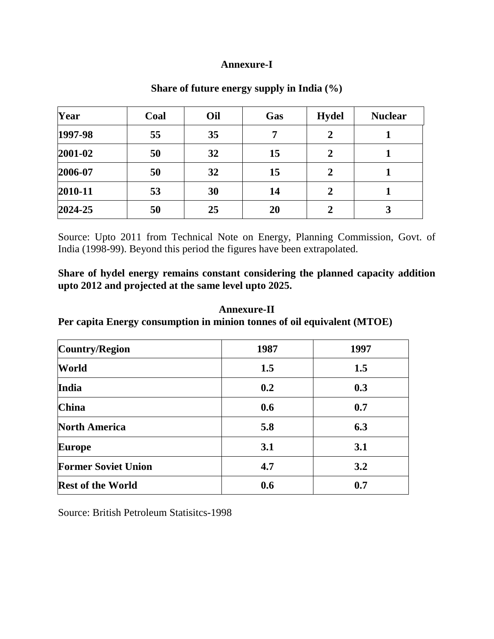### **Annexure-I**

| Year    | Coal | Oil | Gas | <b>Hydel</b>     | <b>Nuclear</b> |
|---------|------|-----|-----|------------------|----------------|
| 1997-98 | 55   | 35  | 7   | $\overline{2}$   |                |
| 2001-02 | 50   | 32  | 15  | $\overline{2}$   |                |
| 2006-07 | 50   | 32  | 15  | $\overline{2}$   |                |
| 2010-11 | 53   | 30  | 14  | $\boldsymbol{2}$ |                |
| 2024-25 | 50   | 25  | 20  | $\overline{2}$   | 3              |

## **Share of future energy supply in India (%)**

Source: Upto 2011 from Technical Note on Energy, Planning Commission, Govt. of India (1998-99). Beyond this period the figures have been extrapolated.

**Share of hydel energy remains constant considering the planned capacity addition upto 2012 and projected at the same level upto 2025.** 

## **Annexure-II Per capita Energy consumption in minion tonnes of oil equivalent (MTOE)**

| Country/Region             | 1987 | 1997 |
|----------------------------|------|------|
| World                      | 1.5  | 1.5  |
| India                      | 0.2  | 0.3  |
| <b>China</b>               | 0.6  | 0.7  |
| <b>North America</b>       | 5.8  | 6.3  |
| <b>Europe</b>              | 3.1  | 3.1  |
| <b>Former Soviet Union</b> | 4.7  | 3.2  |
| <b>Rest of the World</b>   | 0.6  | 0.7  |

Source: British Petroleum Statisitcs-1998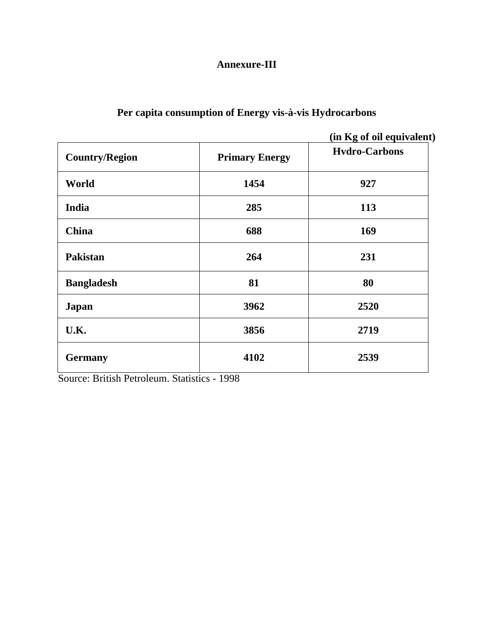## **Annexure-III**

# **Per capita consumption of Energy vis-à-vis Hydrocarbons**

**(in Kg of oil equivalent)** 

| <b>Country/Region</b> | <b>Primary Energy</b> | <b>Hydro-Carbons</b> |
|-----------------------|-----------------------|----------------------|
| World                 | 1454                  | 927                  |
| India                 | 285                   | 113                  |
| China                 | 688                   | 169                  |
| <b>Pakistan</b>       | 264                   | 231                  |
| <b>Bangladesh</b>     | 81                    | 80                   |
| <b>Japan</b>          | 3962                  | 2520                 |
| U.K.                  | 3856                  | 2719                 |
| <b>Germany</b>        | 4102                  | 2539                 |

Source: British Petroleum. Statistics - 1998